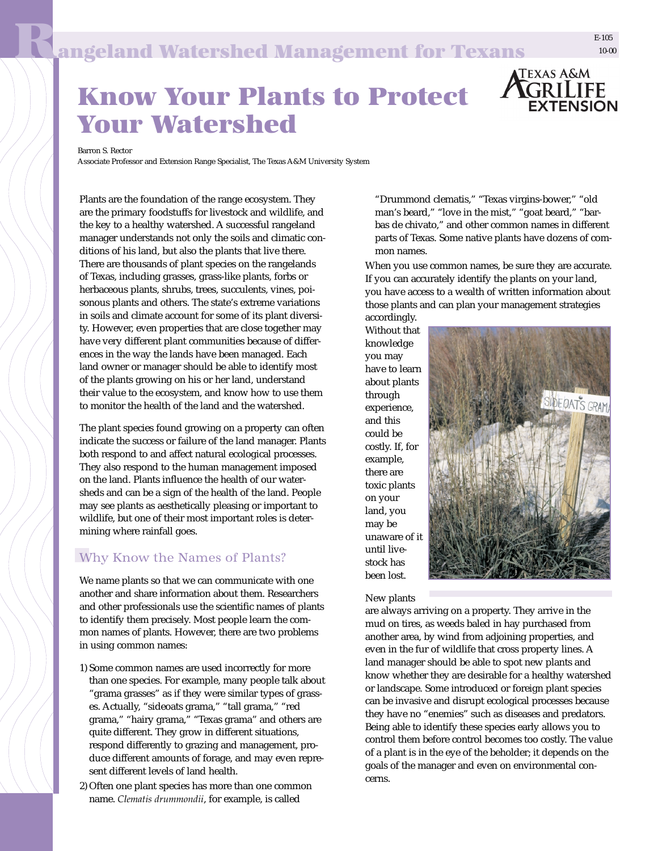

## Know Your Plants to Protect Your Watershed

Barron S. Rector

Associate Professor and Extension Range Specialist, The Texas A&M University System

Plants are the foundation of the range ecosystem. They are the primary foodstuffs for livestock and wildlife, and the key to a healthy watershed. A successful rangeland manager understands not only the soils and climatic conditions of his land, but also the plants that live there. There are thousands of plant species on the rangelands of Texas, including grasses, grass-like plants, forbs or herbaceous plants, shrubs, trees, succulents, vines, poisonous plants and others. The state's extreme variations in soils and climate account for some of its plant diversity. However, even properties that are close together may have very different plant communities because of differences in the way the lands have been managed. Each land owner or manager should be able to identify most of the plants growing on his or her land, understand their value to the ecosystem, and know how to use them to monitor the health of the land and the watershed.

The plant species found growing on a property can often indicate the success or failure of the land manager. Plants both respond to and affect natural ecological processes. They also respond to the human management imposed on the land. Plants influence the health of our watersheds and can be a sign of the health of the land. People may see plants as aesthetically pleasing or important to wildlife, but one of their most important roles is determining where rainfall goes.

## Why Know the Names of Plants?

We name plants so that we can communicate with one another and share information about them. Researchers and other professionals use the scientific names of plants to identify them precisely. Most people learn the common names of plants. However, there are two problems in using common names:

- 1) Some common names are used incorrectly for more than one species. For example, many people talk about "grama grasses" as if they were similar types of grasses. Actually, "sideoats grama," "tall grama," "red grama," "hairy grama," "Texas grama" and others are quite different. They grow in different situations, respond differently to grazing and management, produce different amounts of forage, and may even represent different levels of land health.
- 2) Often one plant species has more than one common name. *Clematis drummondii*, for example, is called

"Drummond clematis," "Texas virgins-bower," "old man's beard," "love in the mist," "goat beard," "barbas de chivato," and other common names in different parts of Texas. Some native plants have dozens of common names.

When you use common names, be sure they are accurate. If you can accurately identify the plants on your land, you have access to a wealth of written information about those plants and can plan your management strategies

accordingly. Without that knowledge you may have to learn about plants through experience, and this could be costly. If, for example, there are toxic plants on your land, you may be unaware of it until livestock has been lost.



New plants

are always arriving on a property. They arrive in the mud on tires, as weeds baled in hay purchased from another area, by wind from adjoining properties, and even in the fur of wildlife that cross property lines. A land manager should be able to spot new plants and know whether they are desirable for a healthy watershed or landscape. Some introduced or foreign plant species can be invasive and disrupt ecological processes because they have no "enemies" such as diseases and predators. Being able to identify these species early allows you to control them before control becomes too costly. The value of a plant is in the eye of the beholder; it depends on the goals of the manager and even on environmental concerns.